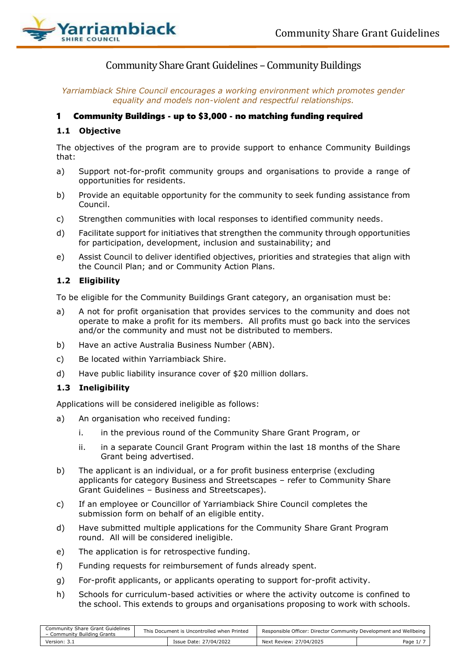

# Community Share Grant Guidelines – Community Buildings

*Yarriambiack Shire Council encourages a working environment which promotes gender equality and models non-violent and respectful relationships.*

### 1 Community Buildings - up to \$3,000 - no matching funding required

### **1.1 Objective**

The objectives of the program are to provide support to enhance Community Buildings that:

- a) Support not-for-profit community groups and organisations to provide a range of opportunities for residents.
- b) Provide an equitable opportunity for the community to seek funding assistance from Council.
- c) Strengthen communities with local responses to identified community needs.
- d) Facilitate support for initiatives that strengthen the community through opportunities for participation, development, inclusion and sustainability; and
- e) Assist Council to deliver identified objectives, priorities and strategies that align with the Council Plan; and or Community Action Plans.

### **1.2 Eligibility**

To be eligible for the Community Buildings Grant category, an organisation must be:

- a) A not for profit organisation that provides services to the community and does not operate to make a profit for its members. All profits must go back into the services and/or the community and must not be distributed to members.
- b) Have an active Australia Business Number (ABN).
- c) Be located within Yarriambiack Shire.
- d) Have public liability insurance cover of \$20 million dollars.

### **1.3 Ineligibility**

Applications will be considered ineligible as follows:

- a) An organisation who received funding:
	- i. in the previous round of the Community Share Grant Program, or
	- ii. in a separate Council Grant Program within the last 18 months of the Share Grant being advertised.
- b) The applicant is an individual, or a for profit business enterprise (excluding applicants for category Business and Streetscapes – refer to Community Share Grant Guidelines – Business and Streetscapes).
- c) If an employee or Councillor of Yarriambiack Shire Council completes the submission form on behalf of an eligible entity.
- d) Have submitted multiple applications for the Community Share Grant Program round. All will be considered ineligible.
- e) The application is for retrospective funding.
- f) Funding requests for reimbursement of funds already spent.
- g) For-profit applicants, or applicants operating to support for-profit activity.
- h) Schools for curriculum-based activities or where the activity outcome is confined to the school. This extends to groups and organisations proposing to work with schools.

| Community Share Grant Guidelines<br>- Community Building Grants | This Document is Uncontrolled when Printed |                        | Responsible Officer: Director Community Development and Wellbeing |                                    |
|-----------------------------------------------------------------|--------------------------------------------|------------------------|-------------------------------------------------------------------|------------------------------------|
| Version: 3.1                                                    |                                            | Issue Date: 27/04/2022 | Next Review: 27/04/2025                                           | Page $1/$ $\overline{\phantom{a}}$ |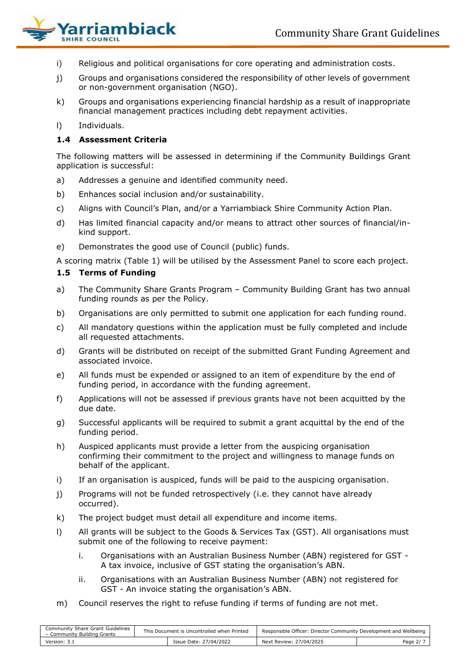

- i) Religious and political organisations for core operating and administration costs.
- j) Groups and organisations considered the responsibility of other levels of government or non-government organisation (NGO).
- k) Groups and organisations experiencing financial hardship as a result of inappropriate financial management practices including debt repayment activities.
- l) Individuals.

## **1.4 Assessment Criteria**

The following matters will be assessed in determining if the Community Buildings Grant application is successful:

- a) Addresses a genuine and identified community need.
- b) Enhances social inclusion and/or sustainability.
- c) Aligns with Council's Plan, and/or a Yarriambiack Shire Community Action Plan.
- d) Has limited financial capacity and/or means to attract other sources of financial/inkind support.
- e) Demonstrates the good use of Council (public) funds.

A scoring matrix (Table 1) will be utilised by the Assessment Panel to score each project.

### **1.5 Terms of Funding**

- a) The Community Share Grants Program Community Building Grant has two annual funding rounds as per the Policy.
- b) Organisations are only permitted to submit one application for each funding round.
- c) All mandatory questions within the application must be fully completed and include all requested attachments.
- d) Grants will be distributed on receipt of the submitted Grant Funding Agreement and associated invoice.
- e) All funds must be expended or assigned to an item of expenditure by the end of funding period, in accordance with the funding agreement.
- f) Applications will not be assessed if previous grants have not been acquitted by the due date.
- g) Successful applicants will be required to submit a grant acquittal by the end of the funding period.
- h) Auspiced applicants must provide a letter from the auspicing organisation confirming their commitment to the project and willingness to manage funds on behalf of the applicant.
- i) If an organisation is auspiced, funds will be paid to the auspicing organisation.
- j) Programs will not be funded retrospectively (i.e. they cannot have already occurred).
- k) The project budget must detail all expenditure and income items.
- l) All grants will be subject to the Goods & Services Tax (GST). All organisations must submit one of the following to receive payment:
	- i. Organisations with an Australian Business Number (ABN) registered for GST A tax invoice, inclusive of GST stating the organisation's ABN.
	- ii. Organisations with an Australian Business Number (ABN) not registered for GST - An invoice stating the organisation's ABN.
- m) Council reserves the right to refuse funding if terms of funding are not met.

| Community Share Grant Guidelines<br>- Community Building Grants | This Document is Uncontrolled when Printed |                        | Responsible Officer: Director Community Development and Wellbeing |          |
|-----------------------------------------------------------------|--------------------------------------------|------------------------|-------------------------------------------------------------------|----------|
| Version: 3.1                                                    |                                            | Issue Date: 27/04/2022 | Next Review: 27/04/2025                                           | Page 2/7 |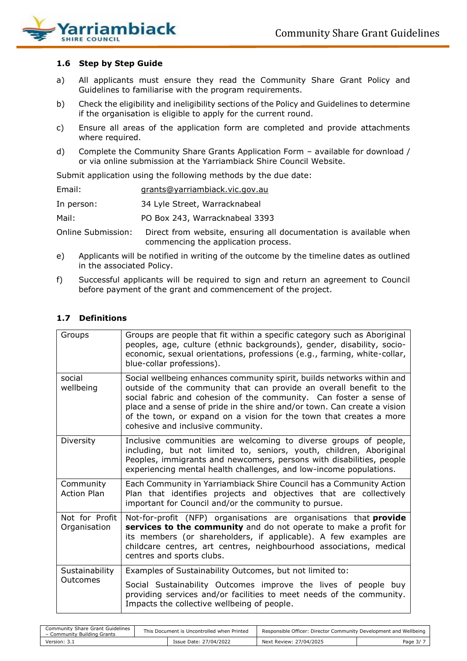

### **1.6 Step by Step Guide**

- a) All applicants must ensure they read the Community Share Grant Policy and Guidelines to familiarise with the program requirements.
- b) Check the eligibility and ineligibility sections of the Policy and Guidelines to determine if the organisation is eligible to apply for the current round.
- c) Ensure all areas of the application form are completed and provide attachments where required.
- d) Complete the Community Share Grants Application Form available for download / or via online submission at the Yarriambiack Shire Council Website.

Submit application using the following methods by the due date:

| Email:             | grants@yarriambiack.vic.gov.au                                                                           |
|--------------------|----------------------------------------------------------------------------------------------------------|
| In person:         | 34 Lyle Street, Warracknabeal                                                                            |
| Mail:              | PO Box 243, Warracknabeal 3393                                                                           |
| Online Submission: | Direct from website, ensuring all documentation is available when<br>commencing the application process. |

- e) Applicants will be notified in writing of the outcome by the timeline dates as outlined in the associated Policy.
- f) Successful applicants will be required to sign and return an agreement to Council before payment of the grant and commencement of the project.

### **1.7 Definitions**

| Groups                          | Groups are people that fit within a specific category such as Aboriginal<br>peoples, age, culture (ethnic backgrounds), gender, disability, socio-<br>economic, sexual orientations, professions (e.g., farming, white-collar,<br>blue-collar professions).                                                                                                                                                 |
|---------------------------------|-------------------------------------------------------------------------------------------------------------------------------------------------------------------------------------------------------------------------------------------------------------------------------------------------------------------------------------------------------------------------------------------------------------|
| social<br>wellbeing             | Social wellbeing enhances community spirit, builds networks within and<br>outside of the community that can provide an overall benefit to the<br>social fabric and cohesion of the community. Can foster a sense of<br>place and a sense of pride in the shire and/or town. Can create a vision<br>of the town, or expand on a vision for the town that creates a more<br>cohesive and inclusive community. |
| Diversity                       | Inclusive communities are welcoming to diverse groups of people,<br>including, but not limited to, seniors, youth, children, Aboriginal<br>Peoples, immigrants and newcomers, persons with disabilities, people<br>experiencing mental health challenges, and low-income populations.                                                                                                                       |
| Community<br><b>Action Plan</b> | Each Community in Yarriambiack Shire Council has a Community Action<br>Plan that identifies projects and objectives that are collectively<br>important for Council and/or the community to pursue.                                                                                                                                                                                                          |
| Not for Profit<br>Organisation  | Not-for-profit (NFP) organisations are organisations that provide<br>services to the community and do not operate to make a profit for<br>its members (or shareholders, if applicable). A few examples are<br>childcare centres, art centres, neighbourhood associations, medical<br>centres and sports clubs.                                                                                              |
| Sustainability                  | Examples of Sustainability Outcomes, but not limited to:                                                                                                                                                                                                                                                                                                                                                    |
| Outcomes                        | Social Sustainability Outcomes improve the lives of people buy<br>providing services and/or facilities to meet needs of the community.<br>Impacts the collective wellbeing of people.                                                                                                                                                                                                                       |

| Community Share Grant Guidelines<br>- Community Building Grants | This Document is Uncontrolled when Printed |                        | Responsible Officer: Director Community Development and Wellbeing |         |
|-----------------------------------------------------------------|--------------------------------------------|------------------------|-------------------------------------------------------------------|---------|
| Version: 3.1                                                    |                                            | Issue Date: 27/04/2022 | Next Review: 27/04/2025                                           | Page 3/ |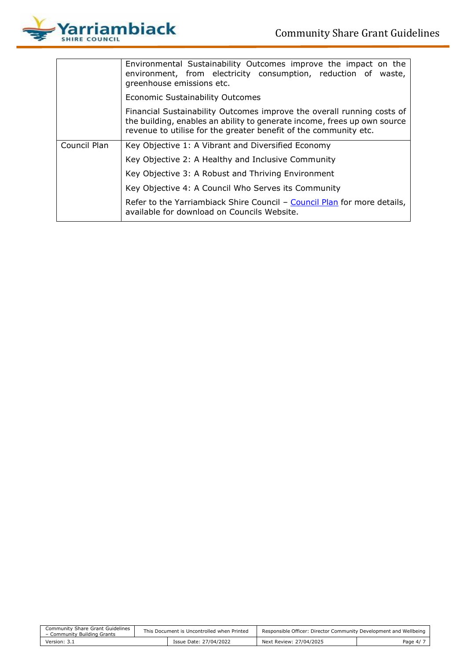

|              | Environmental Sustainability Outcomes improve the impact on the<br>environment, from electricity consumption, reduction of waste,<br>greenhouse emissions etc.                                                         |  |  |  |  |  |  |
|--------------|------------------------------------------------------------------------------------------------------------------------------------------------------------------------------------------------------------------------|--|--|--|--|--|--|
|              | Economic Sustainability Outcomes                                                                                                                                                                                       |  |  |  |  |  |  |
|              | Financial Sustainability Outcomes improve the overall running costs of<br>the building, enables an ability to generate income, frees up own source<br>revenue to utilise for the greater benefit of the community etc. |  |  |  |  |  |  |
| Council Plan | Key Objective 1: A Vibrant and Diversified Economy                                                                                                                                                                     |  |  |  |  |  |  |
|              | Key Objective 2: A Healthy and Inclusive Community                                                                                                                                                                     |  |  |  |  |  |  |
|              | Key Objective 3: A Robust and Thriving Environment                                                                                                                                                                     |  |  |  |  |  |  |
|              | Key Objective 4: A Council Who Serves its Community                                                                                                                                                                    |  |  |  |  |  |  |
|              | Refer to the Yarriambiack Shire Council - Council Plan for more details,<br>available for download on Councils Website.                                                                                                |  |  |  |  |  |  |

| Community Share Grant Guidelines<br>- Community Building Grants | This Document is Uncontrolled when Printed |                        | Responsible Officer: Director Community Development and Wellbeing |            |
|-----------------------------------------------------------------|--------------------------------------------|------------------------|-------------------------------------------------------------------|------------|
| Version: 3.1                                                    |                                            | Issue Date: 27/04/2022 | Next Review: 27/04/2025                                           | Page $4/7$ |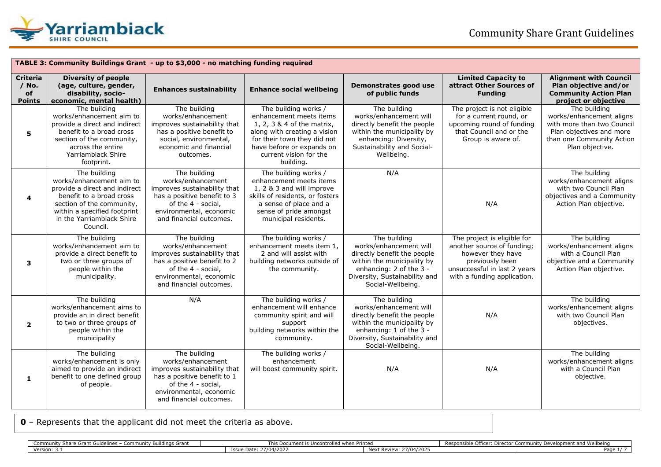

|                                                   | TABLE 3: Community Buildings Grant - up to \$3,000 - no matching funding required                                                                                                                           |                                                                                                                                                                              |                                                                                                                                                                                                                  |                                                                                                                                                                                      |                                                                                                                                                                  |                                                                                                                                                    |  |
|---------------------------------------------------|-------------------------------------------------------------------------------------------------------------------------------------------------------------------------------------------------------------|------------------------------------------------------------------------------------------------------------------------------------------------------------------------------|------------------------------------------------------------------------------------------------------------------------------------------------------------------------------------------------------------------|--------------------------------------------------------------------------------------------------------------------------------------------------------------------------------------|------------------------------------------------------------------------------------------------------------------------------------------------------------------|----------------------------------------------------------------------------------------------------------------------------------------------------|--|
| <b>Criteria</b><br>$/$ No.<br>of<br><b>Points</b> | <b>Diversity of people</b><br>(age, culture, gender,<br>disability, socio-<br>economic, mental health)                                                                                                      | <b>Enhances sustainability</b>                                                                                                                                               | <b>Enhance social wellbeing</b>                                                                                                                                                                                  | Demonstrates good use<br>of public funds                                                                                                                                             | <b>Limited Capacity to</b><br>attract Other Sources of<br><b>Funding</b>                                                                                         | <b>Alignment with Council</b><br>Plan objective and/or<br><b>Community Action Plan</b><br>project or objective                                     |  |
| 5                                                 | The building<br>works/enhancement aim to<br>provide a direct and indirect<br>benefit to a broad cross<br>section of the community,<br>across the entire<br>Yarriambiack Shire<br>footprint.                 | The building<br>works/enhancement<br>improves sustainability that<br>has a positive benefit to<br>social, environmental,<br>economic and financial<br>outcomes.              | The building works /<br>enhancement meets items<br>1, 2, 3 & 4 of the matrix,<br>along with creating a vision<br>for their town they did not<br>have before or expands on<br>current vision for the<br>building. | The building<br>works/enhancement will<br>directly benefit the people<br>within the municipality by<br>enhancing: Diversity,<br>Sustainability and Social-<br>Wellbeing.             | The project is not eligible<br>for a current round, or<br>upcoming round of funding<br>that Council and or the<br>Group is aware of.                             | The building<br>works/enhancement aligns<br>with more than two Council<br>Plan objectives and more<br>than one Community Action<br>Plan objective. |  |
| 4                                                 | The building<br>works/enhancement aim to<br>provide a direct and indirect<br>benefit to a broad cross<br>section of the community,<br>within a specified footprint<br>in the Yarriambiack Shire<br>Council. | The building<br>works/enhancement<br>improves sustainability that<br>has a positive benefit to 3<br>of the 4 - social,<br>environmental, economic<br>and financial outcomes. | The building works /<br>enhancement meets items<br>1, 2 & 3 and will improve<br>skills of residents, or fosters<br>a sense of place and a<br>sense of pride amongst<br>municipal residents.                      | N/A                                                                                                                                                                                  | N/A                                                                                                                                                              | The building<br>works/enhancement aligns<br>with two Council Plan<br>objectives and a Community<br>Action Plan objective.                          |  |
| 3                                                 | The building<br>works/enhancement aim to<br>provide a direct benefit to<br>two or three groups of<br>people within the<br>municipality.                                                                     | The building<br>works/enhancement<br>improves sustainability that<br>has a positive benefit to 2<br>of the 4 - social,<br>environmental, economic<br>and financial outcomes. | The building works /<br>enhancement meets item 1,<br>2 and will assist with<br>building networks outside of<br>the community.                                                                                    | The building<br>works/enhancement will<br>directly benefit the people<br>within the municipality by<br>enhancing: 2 of the 3 -<br>Diversity, Sustainability and<br>Social-Wellbeing. | The project is eligible for<br>another source of funding;<br>however they have<br>previously been<br>unsuccessful in last 2 years<br>with a funding application. | The building<br>works/enhancement aligns<br>with a Council Plan<br>objective and a Community<br>Action Plan objective.                             |  |
| $\overline{\mathbf{2}}$                           | The building<br>works/enhancement aims to<br>provide an in direct benefit<br>to two or three groups of<br>people within the<br>municipality                                                                 | N/A                                                                                                                                                                          | The building works /<br>enhancement will enhance<br>community spirit and will<br>support<br>building networks within the<br>community.                                                                           | The building<br>works/enhancement will<br>directly benefit the people<br>within the municipality by<br>enhancing: 1 of the 3 -<br>Diversity, Sustainability and<br>Social-Wellbeing. | N/A                                                                                                                                                              | The building<br>works/enhancement aligns<br>with two Council Plan<br>objectives.                                                                   |  |
| 1                                                 | The building<br>works/enhancement is only<br>aimed to provide an indirect<br>benefit to one defined group<br>of people.                                                                                     | The building<br>works/enhancement<br>improves sustainability that<br>has a positive benefit to 1<br>of the 4 - social,<br>environmental, economic<br>and financial outcomes. | The building works /<br>enhancement<br>will boost community spirit.                                                                                                                                              | N/A                                                                                                                                                                                  | N/A                                                                                                                                                              | The building<br>works/enhancement aligns<br>with a Council Plan<br>objective.                                                                      |  |

**0** – Represents that the applicant did not meet the criteria as above.

| / Buildings Grant<br>rant Guidelines<br>$. \sim$<br>…munity F<br>$-$<br>munity<br>- 511611<br>◡◡ | ontrolled when Printed<br>כוווו<br>טעעווופווג וא טוונטווי |                                    | Officer <sup>.</sup><br>id Wellbein<br>Director<br>aunity Development an<br>Common<br>Rest. |      |
|--------------------------------------------------------------------------------------------------|-----------------------------------------------------------|------------------------------------|---------------------------------------------------------------------------------------------|------|
| Version: 3.1                                                                                     | 27/04/202.<br>Issue Date                                  | <b>Next</b><br>Review.<br>704/2025 |                                                                                             | Page |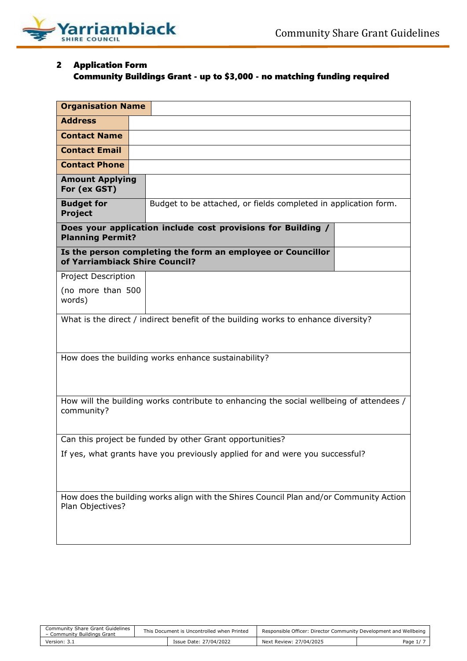

# 2 Application Form Community Buildings Grant - up to \$3,000 - no matching funding required

| <b>Organisation Name</b>                                                                                   |                                                                                   |  |  |  |  |  |
|------------------------------------------------------------------------------------------------------------|-----------------------------------------------------------------------------------|--|--|--|--|--|
| <b>Address</b>                                                                                             |                                                                                   |  |  |  |  |  |
| <b>Contact Name</b>                                                                                        |                                                                                   |  |  |  |  |  |
| <b>Contact Email</b>                                                                                       |                                                                                   |  |  |  |  |  |
| <b>Contact Phone</b>                                                                                       |                                                                                   |  |  |  |  |  |
| <b>Amount Applying</b><br>For (ex GST)                                                                     |                                                                                   |  |  |  |  |  |
| <b>Budget for</b><br><b>Project</b>                                                                        | Budget to be attached, or fields completed in application form.                   |  |  |  |  |  |
| <b>Planning Permit?</b>                                                                                    | Does your application include cost provisions for Building /                      |  |  |  |  |  |
| of Yarriambiack Shire Council?                                                                             | Is the person completing the form an employee or Councillor                       |  |  |  |  |  |
| Project Description                                                                                        |                                                                                   |  |  |  |  |  |
| (no more than 500<br>words)                                                                                |                                                                                   |  |  |  |  |  |
|                                                                                                            | What is the direct / indirect benefit of the building works to enhance diversity? |  |  |  |  |  |
| How does the building works enhance sustainability?                                                        |                                                                                   |  |  |  |  |  |
| How will the building works contribute to enhancing the social wellbeing of attendees /<br>community?      |                                                                                   |  |  |  |  |  |
| Can this project be funded by other Grant opportunities?                                                   |                                                                                   |  |  |  |  |  |
| If yes, what grants have you previously applied for and were you successful?                               |                                                                                   |  |  |  |  |  |
| How does the building works align with the Shires Council Plan and/or Community Action<br>Plan Objectives? |                                                                                   |  |  |  |  |  |

| Community Share Grant Guidelines<br>- Community Buildings Grant | This Document is Uncontrolled when Printed |                        | Responsible Officer: Director Community Development and Wellbeing |          |
|-----------------------------------------------------------------|--------------------------------------------|------------------------|-------------------------------------------------------------------|----------|
| Version: 3.1                                                    |                                            | Issue Date: 27/04/2022 | Next Review: 27/04/2025                                           | Page 1/7 |